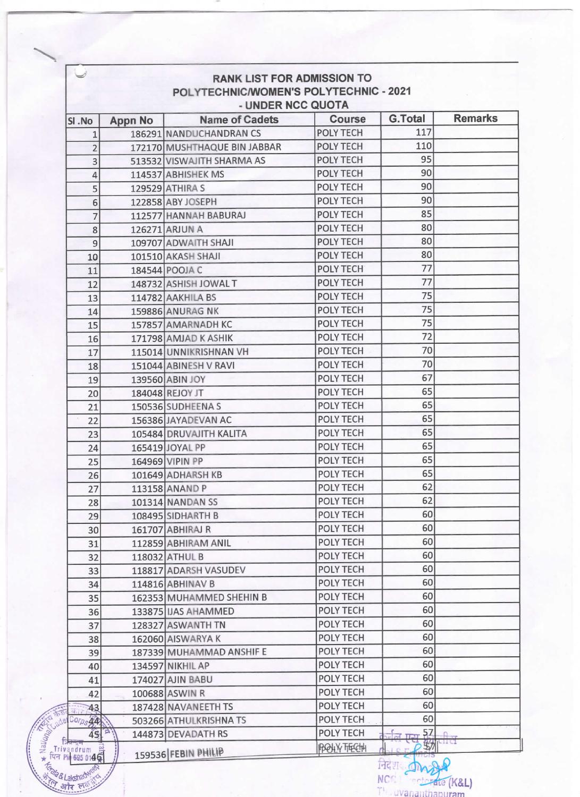| <b>RANK LIST FOR ADMISSION TO</b><br>POLYTECHNIC/WOMEN'S POLYTECHNIC - 2021<br>- UNDER NCC QUOTA<br><b>G.Total</b><br><b>Name of Cadets</b><br>Course<br><b>Appn No</b><br>SI.No<br>117<br><b>POLY TECH</b><br>186291 NANDUCHANDRAN CS<br>1<br>110<br><b>POLY TECH</b><br>172170 MUSHTHAQUE BIN JABBAR<br>$\overline{2}$<br>95<br><b>POLY TECH</b><br>513532 VISWAJITH SHARMA AS<br>3<br>90<br><b>POLY TECH</b><br>114537 ABHISHEK MS<br>4<br>90<br>POLY TECH<br>129529 ATHIRA S<br>5<br>90<br><b>POLY TECH</b><br>122858 ABY JOSEPH<br>6<br>85<br><b>POLY TECH</b><br>112577 HANNAH BABURAJ<br>7<br>80<br><b>POLY TECH</b><br>126271 ARJUN A<br>8<br>80<br><b>POLY TECH</b><br>9<br>109707 ADWAITH SHAJI<br>80<br>POLY TECH<br>101510 AKASH SHAJI<br>10<br>77<br>POLY TECH<br>184544 POOJA C<br>11<br>77<br><b>POLY TECH</b><br>148732 ASHISH JOWAL T<br>12<br>75<br><b>POLY TECH</b><br>114782 AAKHILA BS<br>13<br>75<br><b>POLY TECH</b><br><b>159886 ANURAG NK</b><br>14<br>75<br><b>POLY TECH</b><br>157857 AMARNADH KC<br>15<br>72<br>POLY TECH<br>171798 AMJAD K ASHIK<br>16<br>70<br><b>POLY TECH</b><br>115014 UNNIKRISHNAN VH<br>17<br>70<br>POLY TECH<br>151044 ABINESH V RAVI<br>18<br>67<br>POLY TECH<br>139560 ABIN JOY<br>19<br>65<br>POLY TECH<br>184048 REJOY JT<br>20<br>65<br><b>POLY TECH</b><br>150536 SUDHEENA S<br>21<br>65<br><b>POLY TECH</b><br>22<br>156386 JAYADEVAN AC<br>65<br>POLY TECH<br>105484 DRUVAJITH KALITA<br>23<br>65<br>POLY TECH<br>165419 JOYAL PP<br>24<br>65<br>POLY TECH<br>164969 VIPIN PP<br>25<br>65<br><b>POLY TECH</b><br>101649 ADHARSH KB<br>26<br>62<br>POLY TECH<br>113158 ANAND P<br>27<br>62<br>POLY TECH<br>101314 NANDAN SS<br>28<br>60<br><b>POLY TECH</b><br>108495 SIDHARTH B<br>29<br>60<br>POLY TECH<br>161707 ABHIRAJ R<br>30<br>60<br><b>POLY TECH</b><br>112859 ABHIRAM ANIL<br>31<br>60<br>POLY TECH<br>118032 ATHUL B<br>32<br>60<br>POLY TECH<br>118817 ADARSH VASUDEV<br>33<br>60<br>POLY TECH<br>114816 ABHINAV B<br>34<br>60<br>POLY TECH<br>162353 MUHAMMED SHEHIN B<br>35<br>60<br><b>POLY TECH</b><br>133875 IJAS AHAMMED<br>36<br>60<br><b>POLY TECH</b><br>128327 ASWANTH TN<br>37<br>60<br>POLY TECH<br>162060 AISWARYA K<br>38<br>60<br>POLY TECH<br>187339 MUHAMMAD ANSHIF E<br>39<br>60<br>POLY TECH<br>134597 NIKHIL AP<br>40<br>60<br>POLY TECH<br>174027 AJIN BABU<br>41<br>60<br><b>POLY TECH</b><br>100688 ASWIN R<br>42<br>POLY TECH<br>60<br>187428 NAVANEETH TS<br>43<br>Retailed<br>60<br>POLY TECH<br>Corps AA<br>503266 ATHULKRISHNA TS<br>+ National adder |  |           |                              |                |
|----------------------------------------------------------------------------------------------------------------------------------------------------------------------------------------------------------------------------------------------------------------------------------------------------------------------------------------------------------------------------------------------------------------------------------------------------------------------------------------------------------------------------------------------------------------------------------------------------------------------------------------------------------------------------------------------------------------------------------------------------------------------------------------------------------------------------------------------------------------------------------------------------------------------------------------------------------------------------------------------------------------------------------------------------------------------------------------------------------------------------------------------------------------------------------------------------------------------------------------------------------------------------------------------------------------------------------------------------------------------------------------------------------------------------------------------------------------------------------------------------------------------------------------------------------------------------------------------------------------------------------------------------------------------------------------------------------------------------------------------------------------------------------------------------------------------------------------------------------------------------------------------------------------------------------------------------------------------------------------------------------------------------------------------------------------------------------------------------------------------------------------------------------------------------------------------------------------------------------------------------------------------------------------------------------------------------------------------------------------------------------------------------------------------------------------------------------------------------------------------------------------------------------------------------------|--|-----------|------------------------------|----------------|
|                                                                                                                                                                                                                                                                                                                                                                                                                                                                                                                                                                                                                                                                                                                                                                                                                                                                                                                                                                                                                                                                                                                                                                                                                                                                                                                                                                                                                                                                                                                                                                                                                                                                                                                                                                                                                                                                                                                                                                                                                                                                                                                                                                                                                                                                                                                                                                                                                                                                                                                                                          |  |           |                              |                |
|                                                                                                                                                                                                                                                                                                                                                                                                                                                                                                                                                                                                                                                                                                                                                                                                                                                                                                                                                                                                                                                                                                                                                                                                                                                                                                                                                                                                                                                                                                                                                                                                                                                                                                                                                                                                                                                                                                                                                                                                                                                                                                                                                                                                                                                                                                                                                                                                                                                                                                                                                          |  |           |                              | <b>Remarks</b> |
|                                                                                                                                                                                                                                                                                                                                                                                                                                                                                                                                                                                                                                                                                                                                                                                                                                                                                                                                                                                                                                                                                                                                                                                                                                                                                                                                                                                                                                                                                                                                                                                                                                                                                                                                                                                                                                                                                                                                                                                                                                                                                                                                                                                                                                                                                                                                                                                                                                                                                                                                                          |  |           |                              |                |
|                                                                                                                                                                                                                                                                                                                                                                                                                                                                                                                                                                                                                                                                                                                                                                                                                                                                                                                                                                                                                                                                                                                                                                                                                                                                                                                                                                                                                                                                                                                                                                                                                                                                                                                                                                                                                                                                                                                                                                                                                                                                                                                                                                                                                                                                                                                                                                                                                                                                                                                                                          |  |           |                              |                |
|                                                                                                                                                                                                                                                                                                                                                                                                                                                                                                                                                                                                                                                                                                                                                                                                                                                                                                                                                                                                                                                                                                                                                                                                                                                                                                                                                                                                                                                                                                                                                                                                                                                                                                                                                                                                                                                                                                                                                                                                                                                                                                                                                                                                                                                                                                                                                                                                                                                                                                                                                          |  |           |                              |                |
|                                                                                                                                                                                                                                                                                                                                                                                                                                                                                                                                                                                                                                                                                                                                                                                                                                                                                                                                                                                                                                                                                                                                                                                                                                                                                                                                                                                                                                                                                                                                                                                                                                                                                                                                                                                                                                                                                                                                                                                                                                                                                                                                                                                                                                                                                                                                                                                                                                                                                                                                                          |  |           |                              |                |
|                                                                                                                                                                                                                                                                                                                                                                                                                                                                                                                                                                                                                                                                                                                                                                                                                                                                                                                                                                                                                                                                                                                                                                                                                                                                                                                                                                                                                                                                                                                                                                                                                                                                                                                                                                                                                                                                                                                                                                                                                                                                                                                                                                                                                                                                                                                                                                                                                                                                                                                                                          |  |           |                              |                |
|                                                                                                                                                                                                                                                                                                                                                                                                                                                                                                                                                                                                                                                                                                                                                                                                                                                                                                                                                                                                                                                                                                                                                                                                                                                                                                                                                                                                                                                                                                                                                                                                                                                                                                                                                                                                                                                                                                                                                                                                                                                                                                                                                                                                                                                                                                                                                                                                                                                                                                                                                          |  |           |                              |                |
|                                                                                                                                                                                                                                                                                                                                                                                                                                                                                                                                                                                                                                                                                                                                                                                                                                                                                                                                                                                                                                                                                                                                                                                                                                                                                                                                                                                                                                                                                                                                                                                                                                                                                                                                                                                                                                                                                                                                                                                                                                                                                                                                                                                                                                                                                                                                                                                                                                                                                                                                                          |  |           |                              |                |
|                                                                                                                                                                                                                                                                                                                                                                                                                                                                                                                                                                                                                                                                                                                                                                                                                                                                                                                                                                                                                                                                                                                                                                                                                                                                                                                                                                                                                                                                                                                                                                                                                                                                                                                                                                                                                                                                                                                                                                                                                                                                                                                                                                                                                                                                                                                                                                                                                                                                                                                                                          |  |           |                              |                |
|                                                                                                                                                                                                                                                                                                                                                                                                                                                                                                                                                                                                                                                                                                                                                                                                                                                                                                                                                                                                                                                                                                                                                                                                                                                                                                                                                                                                                                                                                                                                                                                                                                                                                                                                                                                                                                                                                                                                                                                                                                                                                                                                                                                                                                                                                                                                                                                                                                                                                                                                                          |  |           |                              |                |
|                                                                                                                                                                                                                                                                                                                                                                                                                                                                                                                                                                                                                                                                                                                                                                                                                                                                                                                                                                                                                                                                                                                                                                                                                                                                                                                                                                                                                                                                                                                                                                                                                                                                                                                                                                                                                                                                                                                                                                                                                                                                                                                                                                                                                                                                                                                                                                                                                                                                                                                                                          |  |           |                              |                |
|                                                                                                                                                                                                                                                                                                                                                                                                                                                                                                                                                                                                                                                                                                                                                                                                                                                                                                                                                                                                                                                                                                                                                                                                                                                                                                                                                                                                                                                                                                                                                                                                                                                                                                                                                                                                                                                                                                                                                                                                                                                                                                                                                                                                                                                                                                                                                                                                                                                                                                                                                          |  |           |                              |                |
|                                                                                                                                                                                                                                                                                                                                                                                                                                                                                                                                                                                                                                                                                                                                                                                                                                                                                                                                                                                                                                                                                                                                                                                                                                                                                                                                                                                                                                                                                                                                                                                                                                                                                                                                                                                                                                                                                                                                                                                                                                                                                                                                                                                                                                                                                                                                                                                                                                                                                                                                                          |  |           |                              |                |
|                                                                                                                                                                                                                                                                                                                                                                                                                                                                                                                                                                                                                                                                                                                                                                                                                                                                                                                                                                                                                                                                                                                                                                                                                                                                                                                                                                                                                                                                                                                                                                                                                                                                                                                                                                                                                                                                                                                                                                                                                                                                                                                                                                                                                                                                                                                                                                                                                                                                                                                                                          |  |           |                              |                |
|                                                                                                                                                                                                                                                                                                                                                                                                                                                                                                                                                                                                                                                                                                                                                                                                                                                                                                                                                                                                                                                                                                                                                                                                                                                                                                                                                                                                                                                                                                                                                                                                                                                                                                                                                                                                                                                                                                                                                                                                                                                                                                                                                                                                                                                                                                                                                                                                                                                                                                                                                          |  |           |                              |                |
|                                                                                                                                                                                                                                                                                                                                                                                                                                                                                                                                                                                                                                                                                                                                                                                                                                                                                                                                                                                                                                                                                                                                                                                                                                                                                                                                                                                                                                                                                                                                                                                                                                                                                                                                                                                                                                                                                                                                                                                                                                                                                                                                                                                                                                                                                                                                                                                                                                                                                                                                                          |  |           |                              |                |
|                                                                                                                                                                                                                                                                                                                                                                                                                                                                                                                                                                                                                                                                                                                                                                                                                                                                                                                                                                                                                                                                                                                                                                                                                                                                                                                                                                                                                                                                                                                                                                                                                                                                                                                                                                                                                                                                                                                                                                                                                                                                                                                                                                                                                                                                                                                                                                                                                                                                                                                                                          |  |           |                              |                |
|                                                                                                                                                                                                                                                                                                                                                                                                                                                                                                                                                                                                                                                                                                                                                                                                                                                                                                                                                                                                                                                                                                                                                                                                                                                                                                                                                                                                                                                                                                                                                                                                                                                                                                                                                                                                                                                                                                                                                                                                                                                                                                                                                                                                                                                                                                                                                                                                                                                                                                                                                          |  |           |                              |                |
|                                                                                                                                                                                                                                                                                                                                                                                                                                                                                                                                                                                                                                                                                                                                                                                                                                                                                                                                                                                                                                                                                                                                                                                                                                                                                                                                                                                                                                                                                                                                                                                                                                                                                                                                                                                                                                                                                                                                                                                                                                                                                                                                                                                                                                                                                                                                                                                                                                                                                                                                                          |  |           |                              |                |
|                                                                                                                                                                                                                                                                                                                                                                                                                                                                                                                                                                                                                                                                                                                                                                                                                                                                                                                                                                                                                                                                                                                                                                                                                                                                                                                                                                                                                                                                                                                                                                                                                                                                                                                                                                                                                                                                                                                                                                                                                                                                                                                                                                                                                                                                                                                                                                                                                                                                                                                                                          |  |           |                              |                |
|                                                                                                                                                                                                                                                                                                                                                                                                                                                                                                                                                                                                                                                                                                                                                                                                                                                                                                                                                                                                                                                                                                                                                                                                                                                                                                                                                                                                                                                                                                                                                                                                                                                                                                                                                                                                                                                                                                                                                                                                                                                                                                                                                                                                                                                                                                                                                                                                                                                                                                                                                          |  |           |                              |                |
|                                                                                                                                                                                                                                                                                                                                                                                                                                                                                                                                                                                                                                                                                                                                                                                                                                                                                                                                                                                                                                                                                                                                                                                                                                                                                                                                                                                                                                                                                                                                                                                                                                                                                                                                                                                                                                                                                                                                                                                                                                                                                                                                                                                                                                                                                                                                                                                                                                                                                                                                                          |  |           |                              |                |
|                                                                                                                                                                                                                                                                                                                                                                                                                                                                                                                                                                                                                                                                                                                                                                                                                                                                                                                                                                                                                                                                                                                                                                                                                                                                                                                                                                                                                                                                                                                                                                                                                                                                                                                                                                                                                                                                                                                                                                                                                                                                                                                                                                                                                                                                                                                                                                                                                                                                                                                                                          |  |           |                              |                |
|                                                                                                                                                                                                                                                                                                                                                                                                                                                                                                                                                                                                                                                                                                                                                                                                                                                                                                                                                                                                                                                                                                                                                                                                                                                                                                                                                                                                                                                                                                                                                                                                                                                                                                                                                                                                                                                                                                                                                                                                                                                                                                                                                                                                                                                                                                                                                                                                                                                                                                                                                          |  |           |                              |                |
|                                                                                                                                                                                                                                                                                                                                                                                                                                                                                                                                                                                                                                                                                                                                                                                                                                                                                                                                                                                                                                                                                                                                                                                                                                                                                                                                                                                                                                                                                                                                                                                                                                                                                                                                                                                                                                                                                                                                                                                                                                                                                                                                                                                                                                                                                                                                                                                                                                                                                                                                                          |  |           |                              |                |
|                                                                                                                                                                                                                                                                                                                                                                                                                                                                                                                                                                                                                                                                                                                                                                                                                                                                                                                                                                                                                                                                                                                                                                                                                                                                                                                                                                                                                                                                                                                                                                                                                                                                                                                                                                                                                                                                                                                                                                                                                                                                                                                                                                                                                                                                                                                                                                                                                                                                                                                                                          |  |           |                              |                |
|                                                                                                                                                                                                                                                                                                                                                                                                                                                                                                                                                                                                                                                                                                                                                                                                                                                                                                                                                                                                                                                                                                                                                                                                                                                                                                                                                                                                                                                                                                                                                                                                                                                                                                                                                                                                                                                                                                                                                                                                                                                                                                                                                                                                                                                                                                                                                                                                                                                                                                                                                          |  |           |                              |                |
|                                                                                                                                                                                                                                                                                                                                                                                                                                                                                                                                                                                                                                                                                                                                                                                                                                                                                                                                                                                                                                                                                                                                                                                                                                                                                                                                                                                                                                                                                                                                                                                                                                                                                                                                                                                                                                                                                                                                                                                                                                                                                                                                                                                                                                                                                                                                                                                                                                                                                                                                                          |  |           |                              |                |
|                                                                                                                                                                                                                                                                                                                                                                                                                                                                                                                                                                                                                                                                                                                                                                                                                                                                                                                                                                                                                                                                                                                                                                                                                                                                                                                                                                                                                                                                                                                                                                                                                                                                                                                                                                                                                                                                                                                                                                                                                                                                                                                                                                                                                                                                                                                                                                                                                                                                                                                                                          |  |           |                              |                |
|                                                                                                                                                                                                                                                                                                                                                                                                                                                                                                                                                                                                                                                                                                                                                                                                                                                                                                                                                                                                                                                                                                                                                                                                                                                                                                                                                                                                                                                                                                                                                                                                                                                                                                                                                                                                                                                                                                                                                                                                                                                                                                                                                                                                                                                                                                                                                                                                                                                                                                                                                          |  |           |                              |                |
|                                                                                                                                                                                                                                                                                                                                                                                                                                                                                                                                                                                                                                                                                                                                                                                                                                                                                                                                                                                                                                                                                                                                                                                                                                                                                                                                                                                                                                                                                                                                                                                                                                                                                                                                                                                                                                                                                                                                                                                                                                                                                                                                                                                                                                                                                                                                                                                                                                                                                                                                                          |  |           |                              |                |
|                                                                                                                                                                                                                                                                                                                                                                                                                                                                                                                                                                                                                                                                                                                                                                                                                                                                                                                                                                                                                                                                                                                                                                                                                                                                                                                                                                                                                                                                                                                                                                                                                                                                                                                                                                                                                                                                                                                                                                                                                                                                                                                                                                                                                                                                                                                                                                                                                                                                                                                                                          |  |           |                              |                |
|                                                                                                                                                                                                                                                                                                                                                                                                                                                                                                                                                                                                                                                                                                                                                                                                                                                                                                                                                                                                                                                                                                                                                                                                                                                                                                                                                                                                                                                                                                                                                                                                                                                                                                                                                                                                                                                                                                                                                                                                                                                                                                                                                                                                                                                                                                                                                                                                                                                                                                                                                          |  |           |                              |                |
|                                                                                                                                                                                                                                                                                                                                                                                                                                                                                                                                                                                                                                                                                                                                                                                                                                                                                                                                                                                                                                                                                                                                                                                                                                                                                                                                                                                                                                                                                                                                                                                                                                                                                                                                                                                                                                                                                                                                                                                                                                                                                                                                                                                                                                                                                                                                                                                                                                                                                                                                                          |  |           |                              |                |
|                                                                                                                                                                                                                                                                                                                                                                                                                                                                                                                                                                                                                                                                                                                                                                                                                                                                                                                                                                                                                                                                                                                                                                                                                                                                                                                                                                                                                                                                                                                                                                                                                                                                                                                                                                                                                                                                                                                                                                                                                                                                                                                                                                                                                                                                                                                                                                                                                                                                                                                                                          |  |           |                              |                |
|                                                                                                                                                                                                                                                                                                                                                                                                                                                                                                                                                                                                                                                                                                                                                                                                                                                                                                                                                                                                                                                                                                                                                                                                                                                                                                                                                                                                                                                                                                                                                                                                                                                                                                                                                                                                                                                                                                                                                                                                                                                                                                                                                                                                                                                                                                                                                                                                                                                                                                                                                          |  |           |                              |                |
|                                                                                                                                                                                                                                                                                                                                                                                                                                                                                                                                                                                                                                                                                                                                                                                                                                                                                                                                                                                                                                                                                                                                                                                                                                                                                                                                                                                                                                                                                                                                                                                                                                                                                                                                                                                                                                                                                                                                                                                                                                                                                                                                                                                                                                                                                                                                                                                                                                                                                                                                                          |  |           |                              |                |
|                                                                                                                                                                                                                                                                                                                                                                                                                                                                                                                                                                                                                                                                                                                                                                                                                                                                                                                                                                                                                                                                                                                                                                                                                                                                                                                                                                                                                                                                                                                                                                                                                                                                                                                                                                                                                                                                                                                                                                                                                                                                                                                                                                                                                                                                                                                                                                                                                                                                                                                                                          |  |           |                              |                |
|                                                                                                                                                                                                                                                                                                                                                                                                                                                                                                                                                                                                                                                                                                                                                                                                                                                                                                                                                                                                                                                                                                                                                                                                                                                                                                                                                                                                                                                                                                                                                                                                                                                                                                                                                                                                                                                                                                                                                                                                                                                                                                                                                                                                                                                                                                                                                                                                                                                                                                                                                          |  |           |                              |                |
|                                                                                                                                                                                                                                                                                                                                                                                                                                                                                                                                                                                                                                                                                                                                                                                                                                                                                                                                                                                                                                                                                                                                                                                                                                                                                                                                                                                                                                                                                                                                                                                                                                                                                                                                                                                                                                                                                                                                                                                                                                                                                                                                                                                                                                                                                                                                                                                                                                                                                                                                                          |  |           |                              |                |
|                                                                                                                                                                                                                                                                                                                                                                                                                                                                                                                                                                                                                                                                                                                                                                                                                                                                                                                                                                                                                                                                                                                                                                                                                                                                                                                                                                                                                                                                                                                                                                                                                                                                                                                                                                                                                                                                                                                                                                                                                                                                                                                                                                                                                                                                                                                                                                                                                                                                                                                                                          |  |           |                              |                |
|                                                                                                                                                                                                                                                                                                                                                                                                                                                                                                                                                                                                                                                                                                                                                                                                                                                                                                                                                                                                                                                                                                                                                                                                                                                                                                                                                                                                                                                                                                                                                                                                                                                                                                                                                                                                                                                                                                                                                                                                                                                                                                                                                                                                                                                                                                                                                                                                                                                                                                                                                          |  |           |                              |                |
|                                                                                                                                                                                                                                                                                                                                                                                                                                                                                                                                                                                                                                                                                                                                                                                                                                                                                                                                                                                                                                                                                                                                                                                                                                                                                                                                                                                                                                                                                                                                                                                                                                                                                                                                                                                                                                                                                                                                                                                                                                                                                                                                                                                                                                                                                                                                                                                                                                                                                                                                                          |  |           |                              |                |
|                                                                                                                                                                                                                                                                                                                                                                                                                                                                                                                                                                                                                                                                                                                                                                                                                                                                                                                                                                                                                                                                                                                                                                                                                                                                                                                                                                                                                                                                                                                                                                                                                                                                                                                                                                                                                                                                                                                                                                                                                                                                                                                                                                                                                                                                                                                                                                                                                                                                                                                                                          |  |           |                              |                |
|                                                                                                                                                                                                                                                                                                                                                                                                                                                                                                                                                                                                                                                                                                                                                                                                                                                                                                                                                                                                                                                                                                                                                                                                                                                                                                                                                                                                                                                                                                                                                                                                                                                                                                                                                                                                                                                                                                                                                                                                                                                                                                                                                                                                                                                                                                                                                                                                                                                                                                                                                          |  |           |                              |                |
| 45 <sup>6</sup><br>144873 DEVADATH RS                                                                                                                                                                                                                                                                                                                                                                                                                                                                                                                                                                                                                                                                                                                                                                                                                                                                                                                                                                                                                                                                                                                                                                                                                                                                                                                                                                                                                                                                                                                                                                                                                                                                                                                                                                                                                                                                                                                                                                                                                                                                                                                                                                                                                                                                                                                                                                                                                                                                                                                    |  | POLY TECH | <u>र्चल एस <sup>57</sup></u> |                |

WCC: Financial Content<br>The divananthapuram